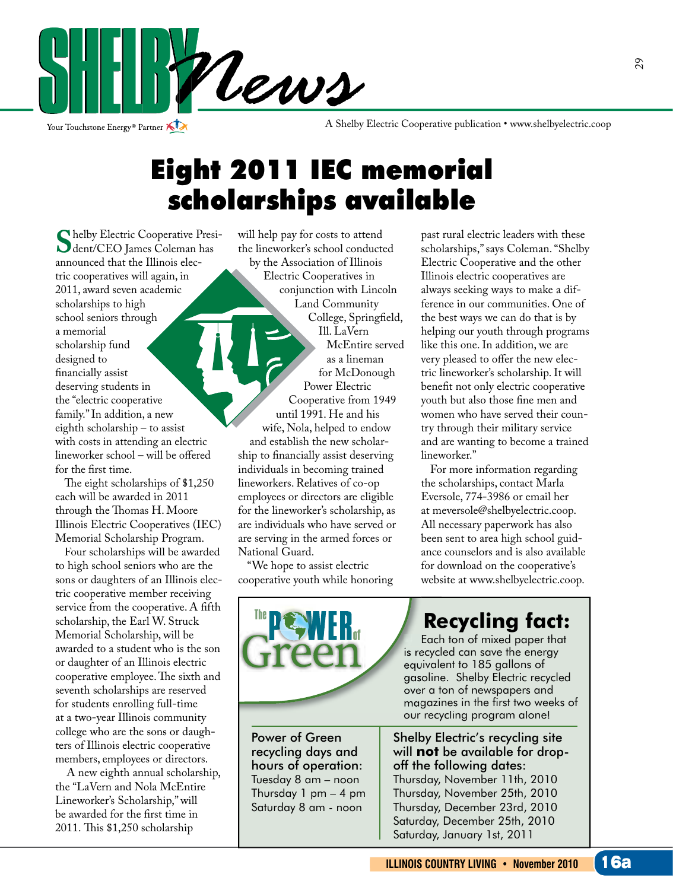

Your Touchstone Energy<sup>®</sup> Partner

A Shelby Electric Cooperative publication • www.shelbyelectric.coop

### Eight 2011 IEC memorial scholarships available

**S**helby Electric Cooperative Presi-<br>dent/CEO James Coleman has<br>announced that the Illinois elecannounced that the Illinois electric cooperatives will again, in 2011, award seven academic scholarships to high school seniors through a memorial scholarship fund designed to financially assist deserving students in the "electric cooperative family." In addition, a new eighth scholarship – to assist with costs in attending an electric  $line *where* school – will be offered$ for the first time.

The eight scholarships of  $$1,250$ each will be awarded in 2011 through the Thomas H. Moore Illinois Electric Cooperatives (IEC) Memorial Scholarship Program.

 Four scholarships will be awarded to high school seniors who are the sons or daughters of an Illinois electric cooperative member receiving service from the cooperative. A fifth scholarship, the Earl W. Struck Memorial Scholarship, will be awarded to a student who is the son or daughter of an Illinois electric cooperative employee. The sixth and seventh scholarships are reserved for students enrolling full-time at a two-year Illinois community college who are the sons or daughters of Illinois electric cooperative members, employees or directors.

 A new eighth annual scholarship, the "LaVern and Nola McEntire Lineworker's Scholarship," will be awarded for the first time in 2011. This \$1,250 scholarship

will help pay for costs to attend the lineworker's school conducted by the Association of Illinois Electric Cooperatives in conjunction with Lincoln Land Community College, Springfield, Ill. LaVern McEntire served as a lineman for McDonough Power Electric Cooperative from 1949 until 1991. He and his wife, Nola, helped to endow and establish the new scholarship to financially assist deserving individuals in becoming trained lineworkers. Relatives of co-op employees or directors are eligible for the lineworker's scholarship, as are individuals who have served or are serving in the armed forces or National Guard.

 "We hope to assist electric cooperative youth while honoring

past rural electric leaders with these scholarships," says Coleman. "Shelby Electric Cooperative and the other Illinois electric cooperatives are always seeking ways to make a difference in our communities. One of the best ways we can do that is by helping our youth through programs like this one. In addition, we are very pleased to offer the new electric lineworker's scholarship. It will benefit not only electric cooperative youth but also those fine men and women who have served their country through their military service and are wanting to become a trained lineworker."

 For more information regarding the scholarships, contact Marla Eversole, 774-3986 or email her at meversole@shelbyelectric.coop. All necessary paperwork has also been sent to area high school guidance counselors and is also available for download on the cooperative's website at www.shelbyelectric.coop.



Power of Green recycling days and hours of operation: Tuesday 8 am – noon Thursday 1 pm – 4 pm Saturday 8 am - noon

### **Recycling fact:**

 Each ton of mixed paper that is recycled can save the energy equivalent to 185 gallons of gasoline. Shelby Electric recycled over a ton of newspapers and magazines in the first two weeks of our recycling program alone!

Shelby Electric's recycling site will **not** be available for dropoff the following dates:

Thursday, November 11th, 2010 Thursday, November 25th, 2010 Thursday, December 23rd, 2010 Saturday, December 25th, 2010 Saturday, January 1st, 2011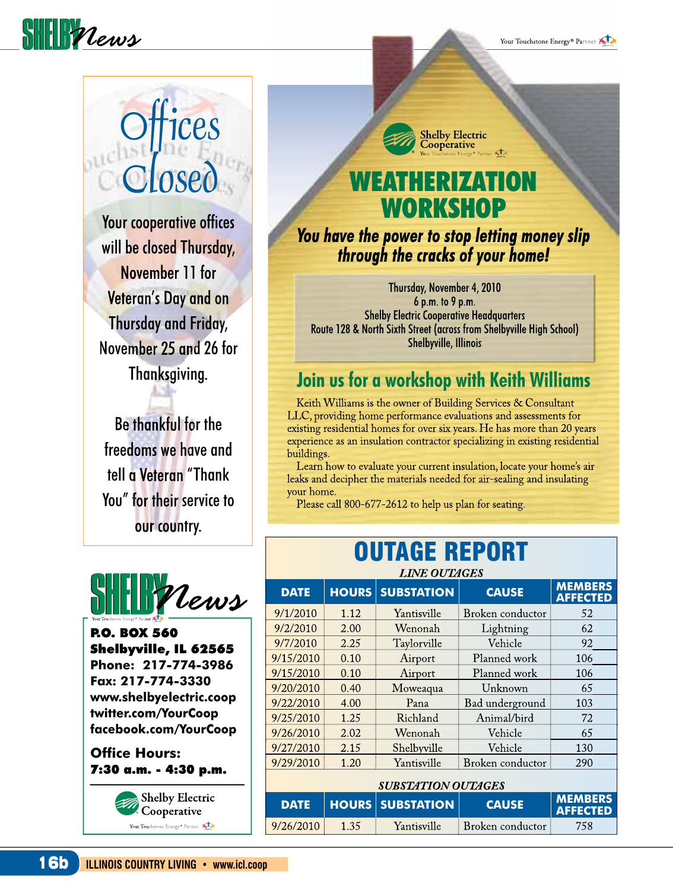

Your Touchstone Energy<sup>®</sup> Partner

## **CPS** Losed

Your cooperative offices will be closed Thursday, November 11 for Veteran's Day and on Thursday and Friday, November 25 and 26 for Thanksgiving.

Be thankful for the freedoms we have and tell a Veteran "Thank You" for their service to our country.



P.O. BOX 560 Shelbyville, IL 62565 **Phone: 217-774-3986 Fax: 217-774-3330 www.shelbyelectric.coop twitter.com/YourCoop facebook.com/YourCoop**

**Office Hours:** 7:30 a.m. - 4:30 p.m.



**Shelby Electric** Cooperative

# WORKSHOP

*You have the power to stop letting money slip through the cracks of your home!*

Thursday, November 4, 2010 6 p.m. to 9 p.m. Shelby Electric Cooperative Headquarters Route 128 & North Sixth Street (across from Shelbyville High School) Shelbyville, Illinois

#### **Join us for a workshop with Keith Williams**

 Keith Williams is the owner of Building Services & Consultant LLC, providing home performance evaluations and assessments for existing residential homes for over six years. He has more than 20 years experience as an insulation contractor specializing in existing residential buildings.

 Learn how to evaluate your current insulation, locate your home's air leaks and decipher the materials needed for air-sealing and insulating your home.

Please call 800-677-2612 to help us plan for seating.

### OUTAGE REPORT

| <b>LINE OUTAGES</b> |              |                   |                  |                                   |  |  |
|---------------------|--------------|-------------------|------------------|-----------------------------------|--|--|
| <b>DATE</b>         | <b>HOURS</b> | <b>SUBSTATION</b> | <b>CAUSE</b>     | <b>MEMBERS</b><br><b>AFFECTED</b> |  |  |
| 9/1/2010            | 1.12         | Yantisville       | Broken conductor | 52                                |  |  |
| 9/2/2010            | 2.00         | Wenonah           | Lightning        | 62                                |  |  |
| 9/7/2010            | 2.25         | Taylorville       | Vehicle          | 92                                |  |  |
| 9/15/2010           | 0.10         | Airport           | Planned work     | 106                               |  |  |
| 9/15/2010           | 0.10         | Airport           | Planned work     | 106                               |  |  |
| 9/20/2010           | 0.40         | Moweaqua          | Unknown          | 65                                |  |  |
| 9/22/2010           | 4.00         | Pana              | Bad underground  | 103                               |  |  |
| 9/25/2010           | 1.25         | Richland          | Animal/bird      | 72                                |  |  |
| 9/26/2010           | 2.02         | Wenonah           | Vehicle          | 65                                |  |  |
| 9/27/2010           | 2.15         | Shelbyville       | Vehicle          | 130                               |  |  |
| 9/29/2010           | 1.20         | Yantisville       | Broken conductor | 290                               |  |  |
|                     |              |                   |                  |                                   |  |  |

| SUBSTATION OUTAGES |      |                         |                  |                                   |  |  |
|--------------------|------|-------------------------|------------------|-----------------------------------|--|--|
| DATE               |      | <b>HOURS SUBSTATION</b> | <b>CAUSE</b>     | <b>MEMBERS</b><br><b>AFFECTED</b> |  |  |
| 9/26/2010          | 1.35 | Yantisville             | Broken conductor | 758                               |  |  |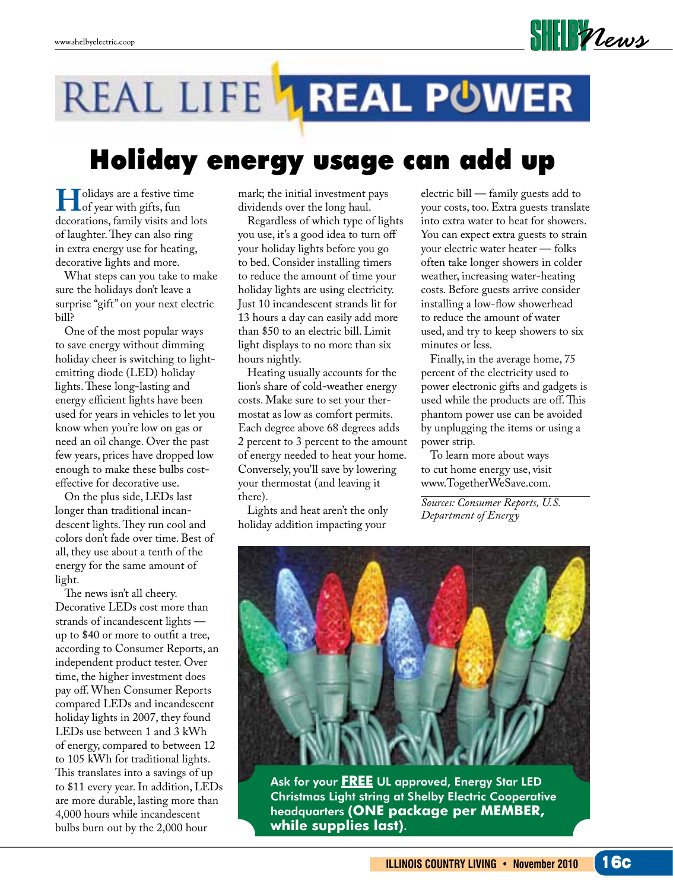

## REAL LIFE LREAL POWER

### Holiday energy usage can add up

**H**olidays are a festive time<br>of year with gifts, fun<br>decorations family visits and lo decorations, family visits and lots of laughter. They can also ring in extra energy use for heating, decorative lights and more.

 What steps can you take to make sure the holidays don't leave a surprise "gift" on your next electric bill?

 One of the most popular ways to save energy without dimming holiday cheer is switching to lightemitting diode (LED) holiday lights. These long-lasting and energy efficient lights have been used for years in vehicles to let you know when you're low on gas or need an oil change. Over the past few years, prices have dropped low enough to make these bulbs costeffective for decorative use.

 On the plus side, LEDs last longer than traditional incandescent lights. They run cool and colors don't fade over time. Best of all, they use about a tenth of the energy for the same amount of light.

The news isn't all cheery. Decorative LEDs cost more than strands of incandescent lights up to \$40 or more to outfit a tree, according to Consumer Reports, an independent product tester. Over time, the higher investment does pay off. When Consumer Reports compared LEDs and incandescent holiday lights in 2007, they found LEDs use between 1 and 3 kWh of energy, compared to between 12 to 105 kWh for traditional lights. This translates into a savings of up to \$11 every year. In addition, LEDs are more durable, lasting more than 4,000 hours while incandescent bulbs burn out by the 2,000 hour

mark; the initial investment pays dividends over the long haul.

 Regardless of which type of lights you use, it's a good idea to turn off your holiday lights before you go to bed. Consider installing timers to reduce the amount of time your holiday lights are using electricity. Just 10 incandescent strands lit for 13 hours a day can easily add more than \$50 to an electric bill. Limit light displays to no more than six hours nightly.

 Heating usually accounts for the lion's share of cold-weather energy costs. Make sure to set your thermostat as low as comfort permits. Each degree above 68 degrees adds 2 percent to 3 percent to the amount of energy needed to heat your home. Conversely, you'll save by lowering your thermostat (and leaving it there).

 Lights and heat aren't the only holiday addition impacting your

electric bill — family guests add to your costs, too. Extra guests translate into extra water to heat for showers. You can expect extra guests to strain your electric water heater — folks often take longer showers in colder weather, increasing water-heating costs. Before guests arrive consider installing a low-flow showerhead to reduce the amount of water used, and try to keep showers to six minutes or less.

 Finally, in the average home, 75 percent of the electricity used to power electronic gifts and gadgets is used while the products are off. This phantom power use can be avoided by unplugging the items or using a power strip.

 To learn more about ways to cut home energy use, visit www.TogetherWeSave.com.

*Sources: Consumer Reports, U.S. Department of Energy*